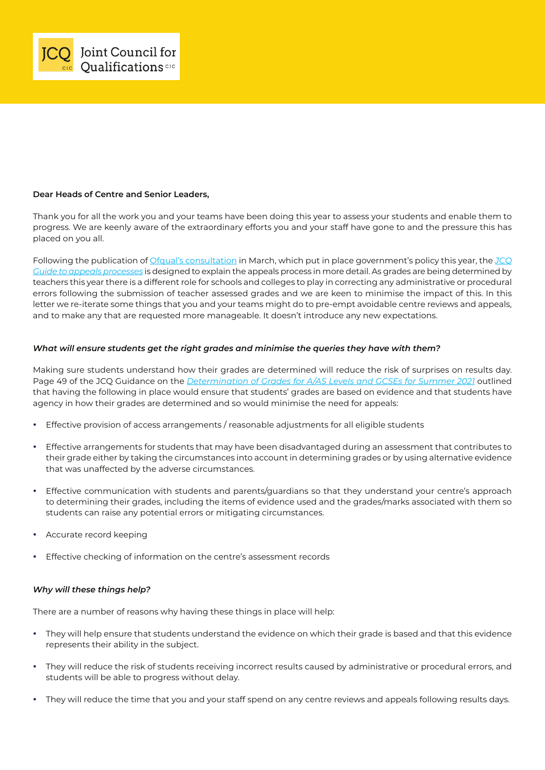

### **Dear Heads of Centre and Senior Leaders,**

Thank you for all the work you and your teams have been doing this year to assess your students and enable them to progress. We are keenly aware of the extraordinary efforts you and your staff have gone to and the pressure this has placed on you all.

Following the publication of [Ofqual's consultation](https://www.gov.uk/government/consultations/consultation-on-the-general-qualifications-alternative-awarding-framework) in March, which put in place government's policy this year, the *[JCQ](https://www.jcq.org.uk/wp-content/uploads/2021/06/JCQ_Appeals-Guidance_Summer-2021.pdf) [Guide to appeals processes](https://www.jcq.org.uk/wp-content/uploads/2021/06/JCQ_Appeals-Guidance_Summer-2021.pdf)* is designed to explain the appeals process in more detail. As grades are being determined by teachers this year there is a different role for schools and colleges to play in correcting any administrative or procedural errors following the submission of teacher assessed grades and we are keen to minimise the impact of this. In this letter we re-iterate some things that you and your teams might do to pre-empt avoidable centre reviews and appeals, and to make any that are requested more manageable. It doesn't introduce any new expectations.

### *What will ensure students get the right grades and minimise the queries they have with them?*

Making sure students understand how their grades are determined will reduce the risk of surprises on results day. Page 49 of the JCQ Guidance on the *[Determination of Grades for A/AS Levels and GCSEs for Summer 2021](https://www.jcq.org.uk/wp-content/uploads/2021/04/JCQ-Guidance-on-the-Determination-of-Grades-for-A-AS-Levels-and-GCSEs-Summer-2021.pdf)* outlined that having the following in place would ensure that students' grades are based on evidence and that students have agency in how their grades are determined and so would minimise the need for appeals:

- **•** Effective provision of access arrangements / reasonable adjustments for all eligible students
- **•** Effective arrangements for students that may have been disadvantaged during an assessment that contributes to their grade either by taking the circumstances into account in determining grades or by using alternative evidence that was unaffected by the adverse circumstances.
- **•** Effective communication with students and parents/guardians so that they understand your centre's approach to determining their grades, including the items of evidence used and the grades/marks associated with them so students can raise any potential errors or mitigating circumstances.
- **•** Accurate record keeping
- **•** Effective checking of information on the centre's assessment records

### *Why will these things help?*

There are a number of reasons why having these things in place will help:

- **•** They will help ensure that students understand the evidence on which their grade is based and that this evidence represents their ability in the subject.
- **•** They will reduce the risk of students receiving incorrect results caused by administrative or procedural errors, and students will be able to progress without delay.
- **•** They will reduce the time that you and your staff spend on any centre reviews and appeals following results days.